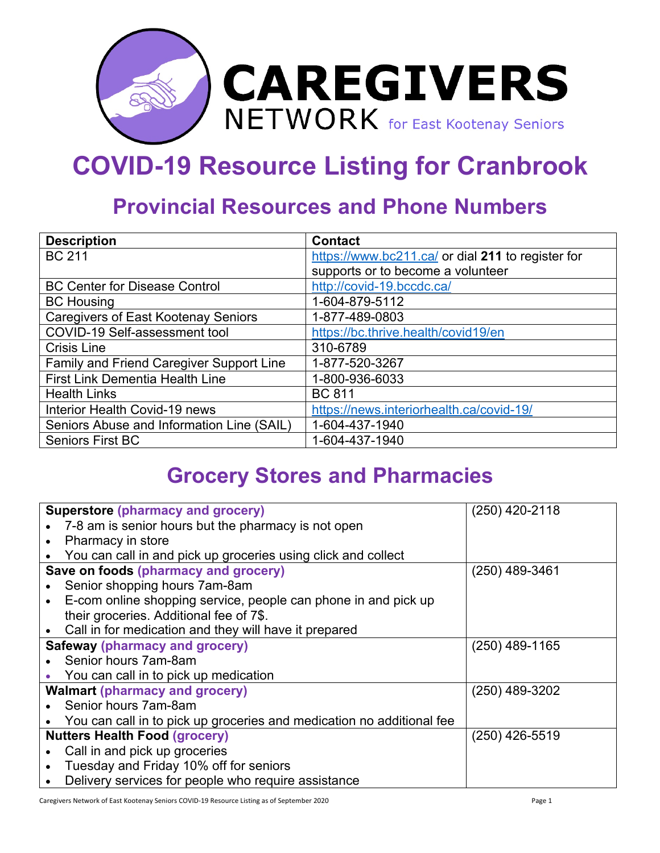

## **COVID-19 Resource Listing for Cranbrook**

## **Provincial Resources and Phone Numbers**

| <b>Description</b>                         | <b>Contact</b>                                    |
|--------------------------------------------|---------------------------------------------------|
| <b>BC 211</b>                              | https://www.bc211.ca/ or dial 211 to register for |
|                                            | supports or to become a volunteer                 |
| <b>BC Center for Disease Control</b>       | http://covid-19.bccdc.ca/                         |
| <b>BC Housing</b>                          | 1-604-879-5112                                    |
| <b>Caregivers of East Kootenay Seniors</b> | 1-877-489-0803                                    |
| COVID-19 Self-assessment tool              | https://bc.thrive.health/covid19/en               |
| <b>Crisis Line</b>                         | 310-6789                                          |
| Family and Friend Caregiver Support Line   | 1-877-520-3267                                    |
| <b>First Link Dementia Health Line</b>     | 1-800-936-6033                                    |
| <b>Health Links</b>                        | <b>BC 811</b>                                     |
| Interior Health Covid-19 news              | https://news.interiorhealth.ca/covid-19/          |
| Seniors Abuse and Information Line (SAIL)  | 1-604-437-1940                                    |
| <b>Seniors First BC</b>                    | 1-604-437-1940                                    |

## **Grocery Stores and Pharmacies**

| <b>Superstore (pharmacy and grocery)</b>                              | $(250)$ 420-2118 |
|-----------------------------------------------------------------------|------------------|
| 7-8 am is senior hours but the pharmacy is not open                   |                  |
| Pharmacy in store                                                     |                  |
| You can call in and pick up groceries using click and collect         |                  |
| Save on foods (pharmacy and grocery)                                  | $(250)$ 489-3461 |
| Senior shopping hours 7am-8am                                         |                  |
| E-com online shopping service, people can phone in and pick up        |                  |
| their groceries. Additional fee of 7\$.                               |                  |
| Call in for medication and they will have it prepared                 |                  |
| <b>Safeway (pharmacy and grocery)</b>                                 | $(250)$ 489-1165 |
| Senior hours 7am-8am                                                  |                  |
| You can call in to pick up medication                                 |                  |
| <b>Walmart (pharmacy and grocery)</b>                                 | $(250)$ 489-3202 |
| Senior hours 7am-8am                                                  |                  |
| You can call in to pick up groceries and medication no additional fee |                  |
| <b>Nutters Health Food (grocery)</b>                                  | $(250)$ 426-5519 |
| Call in and pick up groceries                                         |                  |
| Tuesday and Friday 10% off for seniors                                |                  |
| Delivery services for people who require assistance                   |                  |